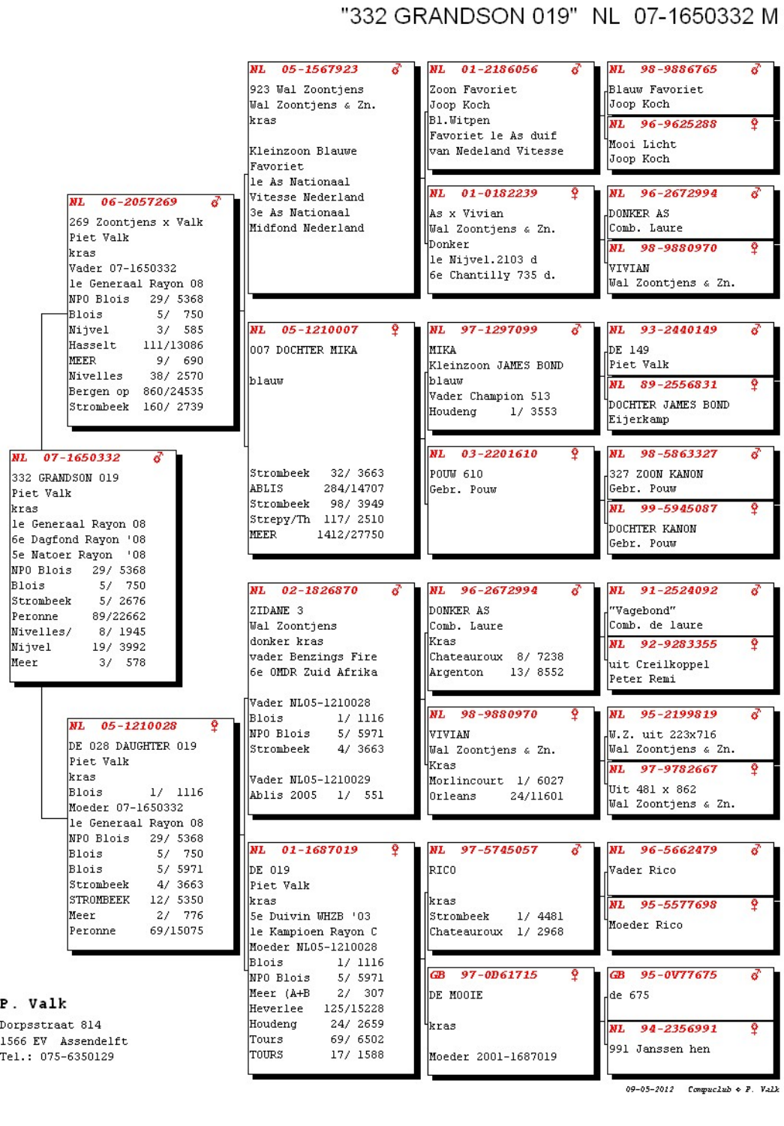## "332 GRANDSON 019" NL 07-1650332 M

|                                               | NL<br>05-1567923                           | 01-2186056<br>NL                           | NL 98-9886765                |
|-----------------------------------------------|--------------------------------------------|--------------------------------------------|------------------------------|
|                                               | 923 Wal Zoontjens                          | Zoon Favoriet                              | Blauw Favoriet               |
|                                               | Wal Zoontjens & Zn.                        | Joop Koch                                  | Joop Koch                    |
|                                               | kras                                       | Bl. Witpen                                 | NL 96-9625288<br>Ŷ           |
|                                               |                                            | Favoriet le As duif                        | Mooi Licht                   |
|                                               | Kleinzoon Blauwe<br>Favoriet               | van Nedeland Vitesse                       | Joop Koch                    |
|                                               | le As Nationaal                            |                                            |                              |
| NL.<br>06-2057269                             | Vitesse Nederland                          | <b>NL</b><br>01-0182239                    | 96-2672994<br>NL             |
|                                               | 3e As Nationaal                            | As x Vivian                                | DONKER AS                    |
| 269 Zoontjens x Valk                          | Midfond Nederland                          | Wal Zoontjens & Zn.                        | Comb. Laure                  |
| Piet Valk<br>kras                             |                                            | Donker                                     | NL 98-9880970<br>Ŷ           |
| Vader 07-1650332                              |                                            | le Nijvel.2103 d                           | VIVIAN                       |
| le Generaal Rayon 08                          |                                            | 6e Chantilly 735 d.                        | Wal Zoontjens & Zn.          |
| NPO Blois<br>29/ 5368                         |                                            |                                            |                              |
| 5/<br>750<br>Blois                            |                                            |                                            |                              |
| 3/585<br>Nijvel                               | Ŷ<br><b>NL</b><br>05-1210007               | NL<br>97-1297099                           | 93-2440149<br>NL.            |
| Hasselt<br>111/13086                          | 007 DOCHTER MIKA                           | <b>MIKA</b>                                | DE 149.                      |
| 9/690<br>MEER<br>Nivelles<br>38/ 2570         |                                            | Kleinzoon JAMES BOND                       | Piet Valk                    |
| 860/24535<br>Bergen op                        | blauw                                      | blauw                                      | NL 89-2556831<br>Ŷ           |
| Strombeek<br>160/ 2739                        |                                            | Vader Champion 513                         | DOCHTER JAMES BOND           |
|                                               |                                            | Houdeng<br>1/3553                          | Eijerkamp                    |
|                                               |                                            |                                            |                              |
| NL<br>07-1650332                              |                                            | NL<br>03-2201610                           | NL<br>98-5863327             |
| 332 GRANDSON 019                              | Strombeek<br>32/ 3663                      | lpouw 610                                  | 327 ZOON KANON               |
| Piet Valk                                     | 284/14707<br>ABLIS                         | Gebr. Pouw                                 | Gebr. Pouw                   |
| kras                                          | Strombeek 98/3949                          |                                            | NL 99-5945087<br>Ŷ           |
| le Generaal Rayon 08                          | Strepy/Th 117/ 2510                        |                                            | DOCHTER KANON                |
| 6e Dagfond Rayon '08                          | IMEER<br>1412/27750                        |                                            | Gebr. Pouw                   |
| 5e Natoer Rayon '08                           |                                            |                                            |                              |
| NPO Blois<br>29/ 5368<br>5/ 750<br>Blois      |                                            |                                            |                              |
| Strombeek<br>5/ 2676                          | 02-1826870<br>б<br>NL                      | 96-2672994<br>NL                           | 91-2524092<br>NL             |
| Peronne<br>89/22662                           | ZIDANE <sub>3</sub>                        | DONKER AS                                  | "Vagebond"                   |
| Nivelles/<br>8/ 1945                          | Wal Zoontjens                              | Comb. Laure                                | Comb. de laure               |
| Nijvel<br>19/ 3992                            | donker kras                                | Kras                                       | Ŷ<br>NL 92-9283355           |
| Meer<br>3/578                                 | vader Benzings Fire<br>6e OMDR Zuid Afrika | Chateauroux 8/7238<br>13/8552<br>Argenton  | uit Creilkoppel              |
|                                               |                                            |                                            | Peter Remi                   |
|                                               | Vader NL05-1210028                         |                                            |                              |
|                                               | Blois<br>1/1116                            | NL<br>98-9880970                           | NL<br>95-2199819             |
| <b>NL</b><br>05-1210028                       | NPO Blois<br>5/ 5971                       | VIVIAN                                     | W.Z. uit 223x716             |
| DE 028 DAUGHTER 019                           | Strombeek<br>4/ 3663                       | Wal Zoontjens & Zn.                        | Wal Zoontjens & Zn.          |
| Piet Valk<br>kras                             |                                            | Kras                                       | Ŷ<br>NL 97-9782667           |
| $1/$ 1116<br>Blois                            | Vader NL05-1210029<br>Ablis 2005<br>1/551  | Morlincourt 1/ 6027<br>Orleans<br>24/11601 | Uit 481 x 862                |
| Moeder 07-1650332                             |                                            |                                            | Wal Zoontjens & Zn.          |
| le Generaal Rayon 08                          |                                            |                                            |                              |
| NPO Blois<br>29/ 5368                         |                                            |                                            |                              |
| Blois<br>5/750                                | NL<br>01-1687019                           | 97-5745057<br>NL                           | NL 96-5662479                |
| 5/ 5971<br>Blois                              | DE 019                                     | RICO                                       | Vader Rico                   |
| Strombeek<br>4/ 3663<br>STROMBEEK<br>12/ 5350 | Piet Valk<br>kras                          | kras                                       |                              |
| 2/ 776<br>Meer                                | Se Duivin WHZB '03                         | Strombeek<br>1/4481                        | NL 95-5577698<br>Ŷ           |
| Peronne<br>69/15075                           | le Kampioen Rayon C                        | Chateauroux 1/2968                         | Moeder Rico                  |
|                                               | Moeder NL05-1210028                        |                                            |                              |
|                                               | Blois<br>1/ 1116                           |                                            |                              |
|                                               | NPO Blois<br>5/ 5971                       | GB 97-0D61715<br>Ŷ                         | ச<br>95-0V77675<br>ŒВ        |
| . Valk                                        | Meer (A+B<br>2/307                         | DE MOOIE                                   | de 675                       |
|                                               | 125/15228<br>Heverlee                      |                                            |                              |
| prpsstraat 814                                | Houdeng<br>24/ 2659<br>Tours<br>69/ 6502   | 4kras                                      | Ŷ<br>94-2356991<br><b>NL</b> |
| 666 EV Assendelft<br>el.: 075-6350129         | TOURS<br>17/ 1588                          | Moeder 2001-1687019                        | 1991 Janssen hen             |
|                                               |                                            |                                            |                              |
|                                               |                                            |                                            |                              |

## P

Do 15 Te

 $09-05-2012$  Compuciab  $\div$  F. Valk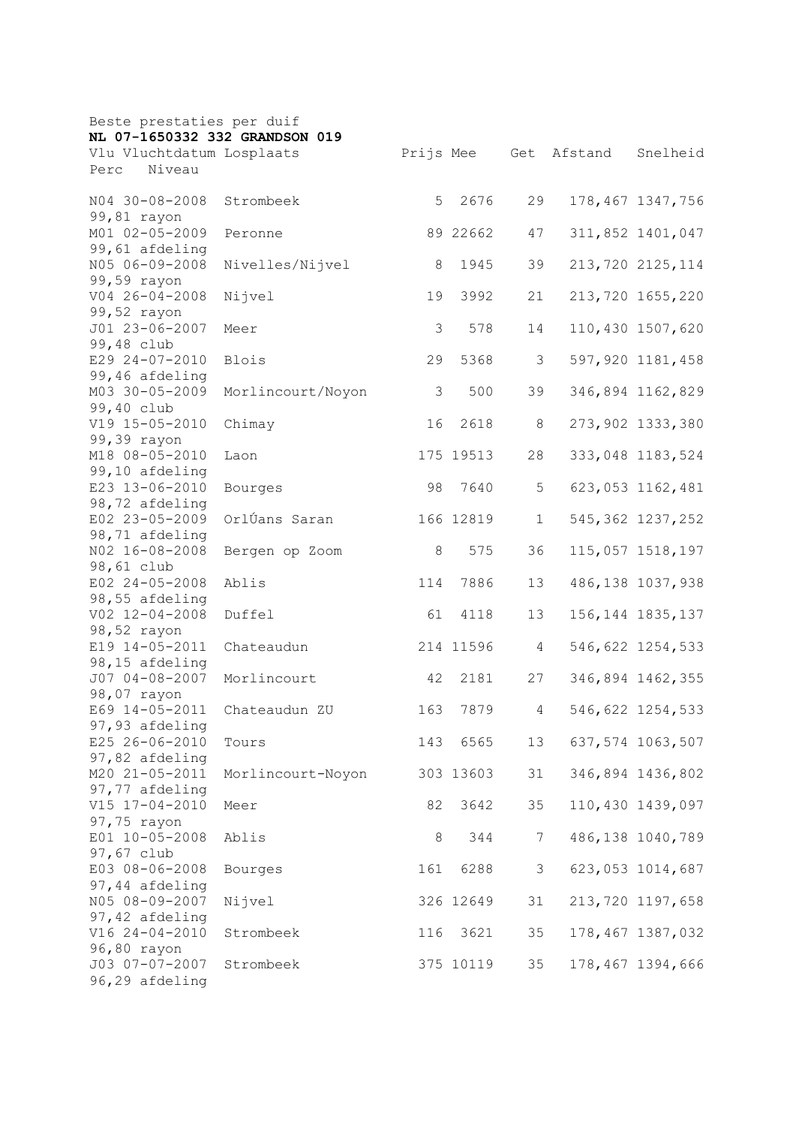| Beste prestaties per duif        |                   |     |           |                 |         |                    |
|----------------------------------|-------------------|-----|-----------|-----------------|---------|--------------------|
| NL 07-1650332 332 GRANDSON 019   |                   |     |           |                 |         |                    |
| Vlu Vluchtdatum Losplaats        |                   |     | Prijs Mee | Get             | Afstand | Snelheid           |
| Niveau<br>Perc                   |                   |     |           |                 |         |                    |
| N04 30-08-2008                   | Strombeek         | 5   | 2676      | 29              |         | 178,467 1347,756   |
| 99,81 rayon                      |                   |     |           |                 |         |                    |
| M01 02-05-2009                   | Peronne           |     | 89 22662  | 47              |         | 311,852 1401,047   |
| 99,61 afdeling                   |                   |     |           |                 |         |                    |
| N05 06-09-2008                   | Nivelles/Nijvel   | 8   | 1945      | 39              |         | 213,720 2125,114   |
| 99,59 rayon                      |                   |     |           |                 |         |                    |
| $V04 26 - 04 - 2008$             | Nijvel            | 19  | 3992      | 21              |         | 213,720 1655,220   |
| 99,52 rayon                      |                   |     |           |                 |         |                    |
| J01 23-06-2007                   | Meer              | 3   | 578       | 14              |         | 110,430 1507,620   |
| 99,48 club                       |                   |     |           |                 |         |                    |
| E29 24-07-2010                   | Blois             | 29  | 5368      | 3               |         | 597,920 1181,458   |
| 99,46 afdeling                   |                   |     |           |                 |         |                    |
| M03 30-05-2009                   | Morlincourt/Noyon | 3   | 500       | 39              |         | 346,894 1162,829   |
| 99,40 club                       |                   |     |           |                 |         |                    |
| V19 15-05-2010                   | Chimay            | 16  | 2618      | 8               |         | 273,902 1333,380   |
| 99,39 rayon<br>M18 08-05-2010    | Laon              |     | 175 19513 | 28              |         | 333,048 1183,524   |
| 99,10 afdeling                   |                   |     |           |                 |         |                    |
| E23 13-06-2010                   | Bourges           | 98  | 7640      | 5               |         | 623,053 1162,481   |
| 98,72 afdeling                   |                   |     |           |                 |         |                    |
| E02 23-05-2009                   | OrlÚans Saran     |     | 166 12819 | $\mathbf 1$     |         | 545, 362 1237, 252 |
| 98,71 afdeling                   |                   |     |           |                 |         |                    |
| NO2 16-08-2008                   | Bergen op Zoom    | 8   | 575       | 36              |         | 115,057 1518,197   |
| 98,61 club                       |                   |     |           |                 |         |                    |
| E02 24-05-2008                   | Ablis             | 114 | 7886      | 13              |         | 486, 138 1037, 938 |
| 98,55 afdeling                   |                   |     |           |                 |         |                    |
| V02 12-04-2008                   | Duffel            | 61  | 4118      | 13              |         | 156, 144 1835, 137 |
| 98,52 rayon                      |                   |     |           |                 |         |                    |
| E19 14-05-2011                   | Chateaudun        |     | 214 11596 | 4               |         | 546,622 1254,533   |
| 98,15 afdeling                   |                   |     |           |                 |         |                    |
| J07 04-08-2007                   | Morlincourt       | 42  | 2181      | 27              |         | 346,894 1462,355   |
| 98,07 rayon                      |                   |     |           |                 |         |                    |
| E69 14-05-2011                   | Chateaudun ZU     | 163 | 7879      | 4               |         | 546,622 1254,533   |
| 97,93 afdeling<br>E25 26-06-2010 |                   |     | 143 6565  | 13              |         |                    |
| 97,82 afdeling                   | Tours             |     |           |                 |         | 637,574 1063,507   |
| M20 21-05-2011                   | Morlincourt-Noyon |     | 303 13603 | 31              |         | 346,894 1436,802   |
| 97,77 afdeling                   |                   |     |           |                 |         |                    |
| V15 17-04-2010                   | Meer              | 82  | 3642      | 35              |         | 110,430 1439,097   |
| 97,75 rayon                      |                   |     |           |                 |         |                    |
| E01 10-05-2008                   | Ablis             | 8   | 344       | $7\phantom{.0}$ |         | 486,138 1040,789   |
| 97,67 club                       |                   |     |           |                 |         |                    |
| E03 08-06-2008                   | Bourges           | 161 | 6288      | 3               |         | 623,053 1014,687   |
| 97,44 afdeling                   |                   |     |           |                 |         |                    |
| N05 08-09-2007                   | Nijvel            |     | 326 12649 | 31              |         | 213,720 1197,658   |
| 97,42 afdeling                   |                   |     |           |                 |         |                    |
| V16 24-04-2010                   | Strombeek         | 116 | 3621      | 35              |         | 178, 467 1387, 032 |
| 96,80 rayon                      |                   |     |           |                 |         |                    |
| J03 07-07-2007                   | Strombeek         |     | 375 10119 | 35              |         | 178,467 1394,666   |
| 96,29 afdeling                   |                   |     |           |                 |         |                    |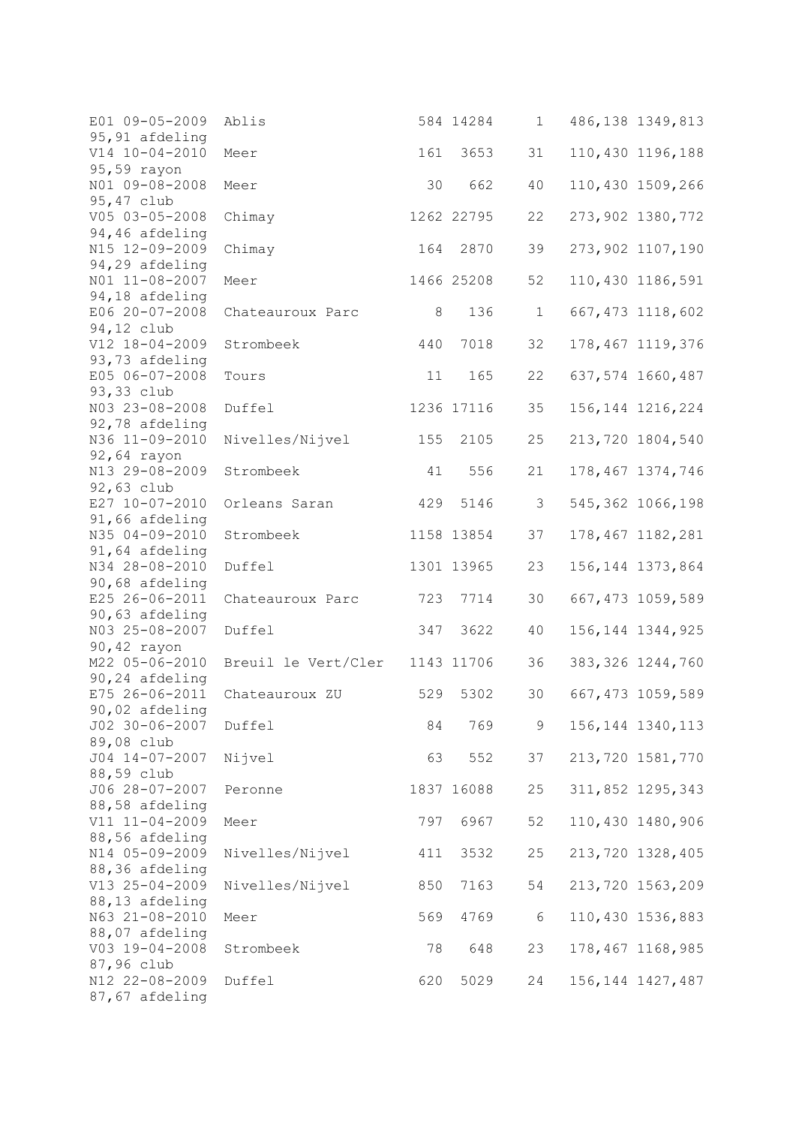| E01 09-05-2009 | Ablis               |     | 584 14284  | $\mathbf 1$ | 486, 138 1349, 813 |
|----------------|---------------------|-----|------------|-------------|--------------------|
| 95,91 afdeling |                     |     |            |             |                    |
| V14 10-04-2010 | Meer                | 161 | 3653       | 31          | 110,430 1196,188   |
| 95,59 rayon    |                     |     |            |             |                    |
| N01 09-08-2008 | Meer                | 30  | 662        | 40          | 110,430 1509,266   |
| 95,47 club     |                     |     |            |             |                    |
| V05 03-05-2008 | Chimay              |     | 1262 22795 | 22          | 273,902 1380,772   |
| 94,46 afdeling |                     |     |            |             |                    |
| N15 12-09-2009 | Chimay              | 164 | 2870       | 39          | 273,902 1107,190   |
| 94,29 afdeling |                     |     |            |             |                    |
| NO1 11-08-2007 | Meer                |     | 1466 25208 | 52          | 110,430 1186,591   |
| 94,18 afdeling |                     |     |            |             |                    |
| E06 20-07-2008 | Chateauroux Parc    | 8   | 136        | $\mathbf 1$ | 667, 473 1118, 602 |
| 94,12 club     |                     |     |            |             |                    |
| V12 18-04-2009 | Strombeek           | 440 | 7018       | 32          | 178, 467 1119, 376 |
| 93,73 afdeling |                     |     |            |             |                    |
| E05 06-07-2008 |                     |     |            |             | 637,574 1660,487   |
|                | Tours               | 11  | 165        | 22          |                    |
| 93,33 club     |                     |     |            |             |                    |
| N03 23-08-2008 | Duffel              |     | 1236 17116 | 35          | 156, 144 1216, 224 |
| 92,78 afdeling |                     |     |            |             |                    |
| N36 11-09-2010 | Nivelles/Nijvel     | 155 | 2105       | 25          | 213,720 1804,540   |
| 92,64 rayon    |                     |     |            |             |                    |
| N13 29-08-2009 | Strombeek           | 41  | 556        | 21          | 178, 467 1374, 746 |
| 92,63 club     |                     |     |            |             |                    |
| E27 10-07-2010 | Orleans Saran       | 429 | 5146       | 3           | 545, 362 1066, 198 |
| 91,66 afdeling |                     |     |            |             |                    |
| N35 04-09-2010 | Strombeek           |     | 1158 13854 | 37          | 178,467 1182,281   |
| 91,64 afdeling |                     |     |            |             |                    |
| N34 28-08-2010 | Duffel              |     | 1301 13965 | 23          | 156, 144 1373, 864 |
| 90,68 afdeling |                     |     |            |             |                    |
| E25 26-06-2011 | Chateauroux Parc    | 723 | 7714       | 30          | 667, 473 1059, 589 |
| 90,63 afdeling |                     |     |            |             |                    |
| N03 25-08-2007 | Duffel              | 347 | 3622       | 40          | 156, 144 1344, 925 |
| 90,42 rayon    |                     |     |            |             |                    |
| M22 05-06-2010 | Breuil le Vert/Cler |     |            |             |                    |
|                |                     |     | 1143 11706 | 36          | 383, 326 1244, 760 |
| 90,24 afdeling |                     |     |            |             |                    |
| E75 26-06-2011 | Chateauroux ZU      | 529 | 5302       | 30          | 667, 473 1059, 589 |
| 90,02 afdeling |                     |     |            |             |                    |
| J02 30-06-2007 | Duffel              | 84  | 769        | 9           | 156, 144 1340, 113 |
| 89,08 club     |                     |     |            |             |                    |
| J04 14-07-2007 | Nijvel              | 63  | 552        | 37          | 213,720 1581,770   |
| 88,59 club     |                     |     |            |             |                    |
| J06 28-07-2007 | Peronne             |     | 1837 16088 | 25          | 311,852 1295,343   |
| 88,58 afdeling |                     |     |            |             |                    |
| V11 11-04-2009 | Meer                | 797 | 6967       | 52          | 110,430 1480,906   |
| 88,56 afdeling |                     |     |            |             |                    |
| N14 05-09-2009 | Nivelles/Nijvel     | 411 | 3532       | 25          | 213,720 1328,405   |
| 88,36 afdeling |                     |     |            |             |                    |
| V13 25-04-2009 | Nivelles/Nijvel     | 850 | 7163       | 54          | 213,720 1563,209   |
| 88,13 afdeling |                     |     |            |             |                    |
| N63 21-08-2010 | Meer                | 569 | 4769       | $\sqrt{6}$  | 110,430 1536,883   |
| 88,07 afdeling |                     |     |            |             |                    |
| V03 19-04-2008 | Strombeek           | 78  | 648        | 23          | 178,467 1168,985   |
| 87,96 club     |                     |     |            |             |                    |
| N12 22-08-2009 | Duffel              |     | 5029       |             |                    |
|                |                     | 620 |            | 24          | 156, 144 1427, 487 |
| 87,67 afdeling |                     |     |            |             |                    |